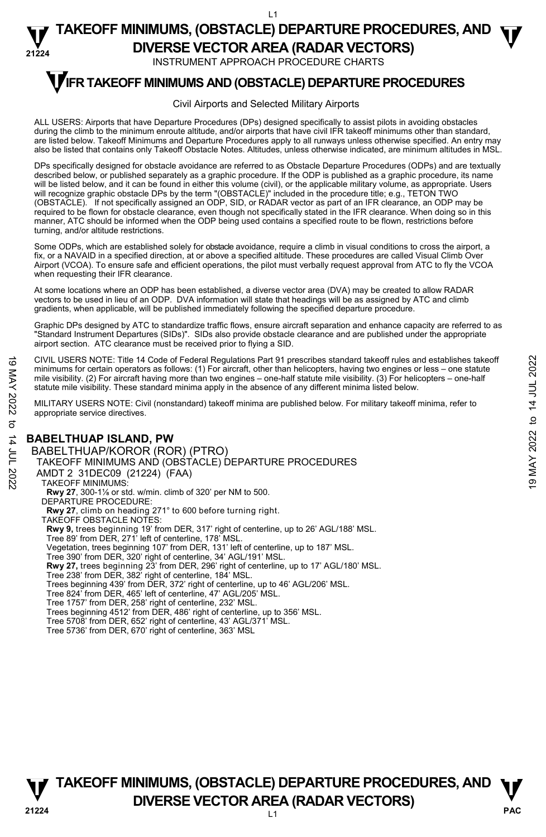#### **21224**  L1 **TAKEOFF MINIMUMS, (OBSTACLE) DEPARTURE PROCEDURES, AND**  $\Psi$ **DIVERSE VECTOR AREA (RADAR VECTORS)**

INSTRUMENT APPROACH PROCEDURE CHARTS

# **TIFR TAKEOFF MINIMUMS AND (OBSTACLE) DEPARTURE PROCEDURES**

#### Civil Airports and Selected Military Airports

ALL USERS: Airports that have Departure Procedures (DPs) designed specifically to assist pilots in avoiding obstacles during the climb to the minimum enroute altitude, and/or airports that have civil IFR takeoff minimums other than standard, are listed below. Takeoff Minimums and Departure Procedures apply to all runways unless otherwise specified. An entry may also be listed that contains only Takeoff Obstacle Notes. Altitudes, unless otherwise indicated, are minimum altitudes in MSL.

DPs specifically designed for obstacle avoidance are referred to as Obstacle Departure Procedures (ODPs) and are textually described below, or published separately as a graphic procedure. If the ODP is published as a graphic procedure, its name will be listed below, and it can be found in either this volume (civil), or the applicable military volume, as appropriate. Users will recognize graphic obstacle DPs by the term "(OBSTACLE)" included in the procedure title; e.g., TETON TWO (OBSTACLE). If not specifically assigned an ODP, SID, or RADAR vector as part of an IFR clearance, an ODP may be required to be flown for obstacle clearance, even though not specifically stated in the IFR clearance. When doing so in this manner, ATC should be informed when the ODP being used contains a specified route to be flown, restrictions before turning, and/or altitude restrictions.

Some ODPs, which are established solely for obstacle avoidance, require a climb in visual conditions to cross the airport, a fix, or a NAVAID in a specified direction, at or above a specified altitude. These procedures are called Visual Climb Over Airport (VCOA). To ensure safe and efficient operations, the pilot must verbally request approval from ATC to fly the VCOA when requesting their IFR clearance.

At some locations where an ODP has been established, a diverse vector area (DVA) may be created to allow RADAR vectors to be used in lieu of an ODP. DVA information will state that headings will be as assigned by ATC and climb gradients, when applicable, will be published immediately following the specified departure procedure.

Graphic DPs designed by ATC to standardize traffic flows, ensure aircraft separation and enhance capacity are referred to as "Standard Instrument Departures (SIDs)". SIDs also provide obstacle clearance and are published under the appropriate airport section. ATC clearance must be received prior to flying a SID.

CIVIL USERS NOTE: Title 14 Code of Federal Regulations Part 91 prescribes standard takeoff rules and establishes takeoff minimums for certain operators as follows: (1) For aircraft, other than helicopters, having two engines or less – one statute mile visibility. (2) For aircraft having more than two engines – one-half statute mile visibility. (3) For helicopters – one-half statute mile visibility. These standard minima apply in the absence of any different minima listed below. CIVIL USERS NOTE: Title 14 Code of Federal Regulations Part 91 prescribes standard takeoff rules and establishes takeoff<br>
mile visibility. (2) For aircraft having more than two engines – one-half statute mile visibility.

MILITARY USERS NOTE: Civil (nonstandard) takeoff minima are published below. For military takeoff minima, refer to appropriate service directives.

### **BABELTHUAP ISLAND, PW**

BABELTHUAP/KOROR (ROR) (PTRO) TAKEOFF MINIMUMS AND (OBSTACLE) DEPARTURE PROCEDURES AMDT 2 31DEC09 (21224) (FAA) TAKEOFF MINIMUMS: **Rwy 27**, 300-1⅛ or std. w/min. climb of 320' per NM to 500. DEPARTURE PROCEDURE: **Rwy 27**, climb on heading 271° to 600 before turning right. TAKEOFF OBSTACLE NOTES: **Rwy 9,** trees beginning 19' from DER, 317' right of centerline, up to 26' AGL/188' MSL.<br>Tree 89' from DER, 271' left of centerline, 178' MSL. Vegetation, trees beginning 107' from DER, 131' left of centerline, up to 187' MSL. Tree 390' from DER, 320' right of centerline, 34' AGL/191' MSL.<br>**Rwy 27,** trees beginning 23' from DER, 296' right of centerline, up to 17' AGL/180' MSL. Tree 238' from DER, 382' right of centerline, 184' MSL. Trees beginning 439' from DER, 372' right of centerline, up to 46' AGL/206' MSL. Tree 824' from DER, 465' left of centerline, 47' AGL/205' MSL. Tree 1757' from DER, 258' right of centerline, 232' MSL. Trees beginning 4512' from DER, 486' right of centerline, up to 356' MSL. Tree 5708' from DER, 652' right of centerline, 43' AGL/371' MSL. Tree 5736' from DER, 670' right of centerline, 363' MSL



# L1 **PAC TAKEOFF MINIMUMS, (OBSTACLE) DEPARTURE PROCEDURES, AND**  $\Psi$ **V**<br>21224 **DIVERSE VECTOR AREA (RADAR VECTORS)**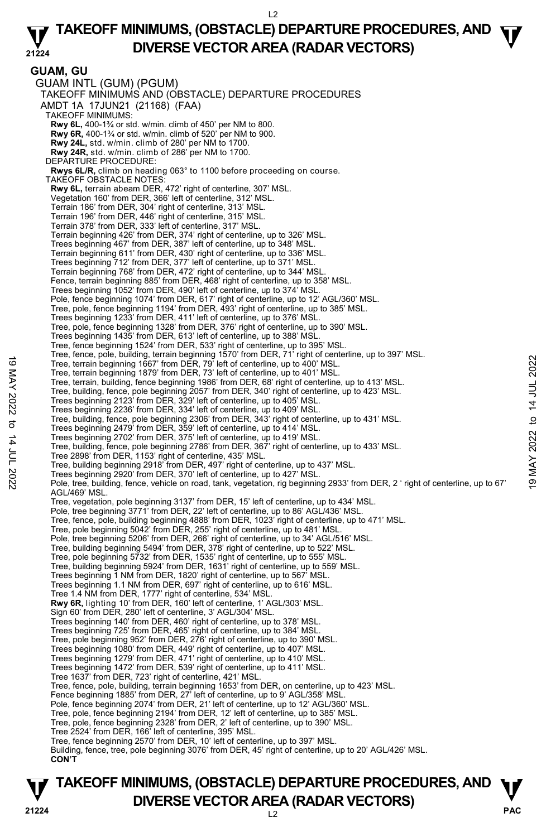### **21224 TAKEOFF MINIMUMS, (OBSTACLE) DEPARTURE PROCEDURES, AND**  $\Psi$ **DIVERSE VECTOR AREA (RADAR VECTORS)**

**GUAM, GU**  GUAM INTL (GUM) (PGUM) TAKEOFF MINIMUMS AND (OBSTACLE) DEPARTURE PROCEDURES AMDT 1A 17JUN21 (21168) (FAA) TAKEOFF MINIMUMS: **Rwy 6L,** 400-1¾ or std. w/min. climb of 450' per NM to 800. **Rwy 6R,** 400-1¾ or std. w/min. climb of 520' per NM to 900. **Rwy 24L,** std. w/min. climb of 280' per NM to 1700. **Rwy 24R,** std. w/min. climb of 286' per NM to 1700. DEPARTURE PROCEDURE: **Rwys 6L/R,** climb on heading 063° to 1100 before proceeding on course. TAKEOFF OBSTACLE NOTES: **Rwy 6L,** terrain abeam DER, 472' right of centerline, 307' MSL. Vegetation 160' from DER, 366' left of centerline, 312' MSL. Terrain 186' from DER, 304' right of centerline, 313' MSL. Terrain 196' from DER, 446' right of centerline, 315' MSL. Terrain 378' from DER, 333' left of centerline, 317' MSL. Terrain beginning 426' from DER, 374' right of centerline, up to 326' MSL. Trees beginning 467' from DER, 387' left of centerline, up to 348' MSL. Terrain beginning 611' from DER, 430' right of centerline, up to 336' MSL. Trees beginning 712' from DER, 377' left of centerline, up to 371' MSL. Terrain beginning 768' from DER, 472' right of centerline, up to 344' MSL. Fence, terrain beginning 885' from DER, 468' right of centerline, up to 358' MSL. Trees beginning 1052' from DER, 490' left of centerline, up to 374' MSL. Pole, fence beginning 1074' from DER, 617' right of centerline, up to 12' AGL/360' MSL. Tree, pole, fence beginning 1194' from DER, 493' right of centerline, up to 385' MSL. Trees beginning 1233' from DER, 411' left of centerline, up to 376' MSL. Tree, pole, fence beginning 1328' from DER, 376' right of centerline, up to 390' MSL. Trees beginning 1435' from DER, 613' left of centerline, up to 388' MSL. Tree, fence beginning 1524' from DER, 533' right of centerline, up to 395' MSL.<br>Tree, fence, pole, building, terrain beginning 1570' from DER, 71' right of centerline, up to 397' MSL. Tree, terrain beginning 1667' from DER, 79' left of centerline, up to 400' MSL. Tree, terrain beginning 1879' from DER, 73' left of centerline, up to 401' MSL. Tree, terrain, building, fence beginning 1986' from DER, 68' right of centerline, up to 413' MSL. Tree, building, fence, pole beginning 2057' from DER, 340' right of centerline, up to 423' MSL. Trees beginning 2123' from DER, 329' left of centerline, up to 405' MSL. Trees beginning 2236' from DER, 334' left of centerline, up to 409' MSL. Tree, building, fence, pole beginning 2306' from DER, 343' right of centerline, up to 431' MSL. Trees beginning 2479' from DER, 359' left of centerline, up to 414' MSL. Trees beginning 2702' from DER, 375' left of centerline, up to 419' MSL. Tree, building, fence, pole beginning 2786' from DER, 367' right of centerline, up to 433' MSL. Tree 2898' from DER, 1153' right of centerline, 435' MSL. Tree, building beginning 2918' from DER, 497' right of centerline, up to 437' MSL. Trees beginning 2920' from DER, 370' left of centerline, up to 427' MSL. Pole, tree, building, fence, vehicle on road, tank, vegetation, rig beginning 2933' from DER, 2 ' right of centerline, up to 67' AGL/469' MSL. Tree, vegetation, pole beginning 3137' from DER, 15' left of centerline, up to 434' MSL. Pole, tree beginning 3771' from DER, 22' left of centerline, up to 86' AGL/436' MSL. Tree, fence, pole, building beginning 4888' from DER, 1023' right of centerline, up to 471' MSL. Tree, pole beginning 5042' from DER, 255' right of centerline, up to 481' MSL. Pole, tree beginning 5206' from DER, 266' right of centerline, up to 34' AGL/516' MSL. Tree, building beginning 5494' from DER, 378' right of centerline, up to 522' MSL. Tree, pole beginning 5732' from DER, 1535' right of centerline, up to 555' MSL. Tree, building beginning 5924' from DER, 1631' right of centerline, up to 559' MSL. Trees beginning 1 NM from DER, 1820' right of centerline, up to 567' MSL. Trees beginning 1.1 NM from DER, 697' right of centerline, up to 616' MSL. Tree 1.4 NM from DER, 1777' right of centerline, 534' MSL. **Rwy 6R,** lighting 10' from DER, 160' left of centerline, 1' AGL/303' MSL. Sign 60' from DER, 280' left of centerline, 3' AGL/304' MSL. Trees beginning 140' from DER, 460' right of centerline, up to 378' MSL. Trees beginning 725' from DER, 465' right of centerline, up to 384' MSL. Tree, pole beginning 952' from DER, 276' right of centerline, up to 390' MSL. Trees beginning 1080' from DER, 449' right of centerline, up to 407' MSL. Trees beginning 1279' from DER, 471' right of centerline, up to 410' MSL. Trees beginning 1472' from DER, 539' right of centerline, up to 411' MSL. Tree 1637' from DER, 723' right of centerline, 421' MSL. Tree, fence, pole, building, terrain beginning 1653' from DER, on centerline, up to 423' MSL. Fence beginning 1885' from DER, 27' left of centerline, up to 9' AGL/358' MSL. Pole, fence beginning 2074' from DER, 21' left of centerline, up to 12' AGL/360' MSL. Tree, pole, fence beginning 2194' from DER, 12' left of centerline, up to 385' MSL. Tree, pole, fence beginning 2328' from DER, 2' left of centerline, up to 390' MSL. Tree 2524' from DER, 166' left of centerline, 395' MSL. Tree, fence beginning 2570' from DER, 10' left of centerline, up to 397' MSL. Building, fence, tree, pole beginning 3076' from DER, 45' right of centerline, up to 20' AGL/426' MSL. **CON'T** Tree, terrain beginning 1667' from DER, 79' left of centerline, up to 401' MSL.<br>Tree, terrain beginning 1679' from DER, 73' left of centerline, up to 401' MSL.<br>Tree, terrain, building, fence beginning 1886' from DER, 83' l

# **PAC** L2 **TAKEOFF MINIMUMS, (OBSTACLE) DEPARTURE PROCEDURES, AND**  $\Psi$ **P**<br>21224 **DIVERSE VECTOR AREA (RADAR VECTORS)**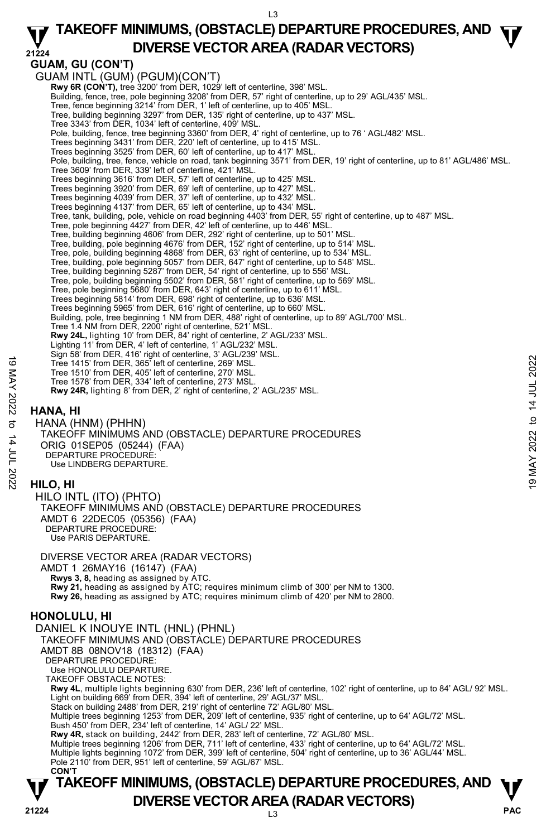### **21224 TAKEOFF MINIMUMS, (OBSTACLE) DEPARTURE PROCEDURES, AND**  $\Psi$ **DIVERSE VECTOR AREA (RADAR VECTORS)**

## **GUAM, GU (CON'T)**

GUAM INTL (GUM) (PGUM)(CON'T)

**Rwy 6R (CON'T), tree 3200' from DER, 1029' left of centerline, 398' MSL.** 

Building, fence, tree, pole beginning 3208' from DER, 57' right of centerline, up to 29' AGL/435' MSL.

Tree, fence beginning 3214' from DER, 1' left of centerline, up to 405' MSL.

Tree, building beginning 3297' from DER, 135' right of centerline, up to 437' MSL. Tree 3343' from DER, 1034' left of centerline, 409' MSL.

Pole, building, fence, tree beginning 3360' from DER, 4' right of centerline, up to 76 ' AGL/482' MSL.

Trees beginning 3431' from DER, 220' left of centerline, up to 415' MSL. Trees beginning 3525' from DER, 60' left of centerline, up to 417' MSL.

Pole, building, tree, fence, vehicle on road, tank beginning 3571' from DER, 19' right of centerline, up to 81' AGL/486' MSL.

Tree 3609' from DER, 339' left of centerline, 421' MSL.

Trees beginning 3616' from DER, 57' left of centerline, up to 425' MSL.

Trees beginning 3920' from DER, 69' left of centerline, up to 427' MSL.

Trees beginning 4039' from DER, 37' left of centerline, up to 432' MSL.

- 
- Trees beginning 4137' from DER, 65' left of centerline, up to 434' MSL. Tree, tank, building, pole, vehicle on road beginning 4403' from DER, 55' right of centerline, up to 487' MSL.
- Tree, pole beginning 4427' from DER, 42' left of centerline, up to 446' MSL.
- Tree, building beginning 4606' from DER, 292' right of centerline, up to 501' MSL. Tree, building, pole beginning 4676' from DER, 152' right of centerline, up to 514' MSL.
- 
- Tree, pole, building beginning 4868' from DER, 63' right of centerline, up to 534' MSL.
- Tree, building, pole beginning 5057' from DER, 647' right of centerline, up to 548' MSL.<br>Tree, building beginning 5287' from DER, 54' right of centerline, up to 556' MSL.<br>Tree, pole, building beginning 5502' from DER, 581'
- 

Tree, pole beginning 5680' from DER, 643' right of centerline, up to 611' MSL.

Trees beginning 5814' from DER, 698' right of centerline, up to 636' MSL. Trees beginning 5965' from DER, 616' right of centerline, up to 660' MSL.

Building, pole, tree beginning 1 NM from DER, 488' right of centerline, up to 89' AGL/700' MSL.

Tree 1.4 NM from DER, 2200' right of centerline, 521' MSL.<br>**Rwy 24L,** lighting 10' from DER, 84' right of centerline, 2' AGL/233' MSL.

Lighting 11' from DER, 4' left of centerline, 1' AGL/232' MSL.

Sign 58' from DER, 416' right of centerline, 3' AGL/239' MSL.

- Tree 1415' from DER, 365' left of centerline, 269' MSL. Tree 1510' from DER, 405' left of centerline, 270' MSL.
- Tree 1578' from DER, 334' left of centerline, 273' MSL.

**Rwy 24R,** lighting 8' from DER, 2' right of centerline, 2' AGL/235' MSL.

# **HANA, HI**

HANA (HNM) (PHHN) TAKEOFF MINIMUMS AND (OBSTACLE) DEPARTURE PROCEDURES ORIG 01SEP05 (05244) (FAA) DEPARTURE PROCEDURE: Use LINDBERG DEPARTURE. Tree 1415 from DER, 365 left of centerline, 269 MSL.<br>
Tree 1510' from DER, 365 left of centerline, 269 MSL.<br>
Tree 1578' from DER, 334' left of centerline, 273' MSL.<br> **EW 24R,** lighting 8' from DER, 2' right of centerline,

### **HILO, HI**

HILO INTL (ITO) (PHTO) TAKEOFF MINIMUMS AND (OBSTACLE) DEPARTURE PROCEDURES AMDT 6 22DEC05 (05356) (FAA) DEPARTURE PROCEDURE: Use PARIS DEPARTURE.

DIVERSE VECTOR AREA (RADAR VECTORS) AMDT 1 26MAY16 (16147) (FAA)  **Rwys 3, 8,** heading as assigned by ATC. **Rwy 21,** heading as assigned by ATC; requires minimum climb of 300' per NM to 1300. **Rwy 26,** heading as assigned by ATC; requires minimum climb of 420' per NM to 2800.

### **HONOLULU, HI**

### DANIEL K INOUYE INTL (HNL) (PHNL) TAKEOFF MINIMUMS AND (OBSTACLE) DEPARTURE PROCEDURES

AMDT 8B 08NOV18 (18312) (FAA)

DEPARTURE PROCEDURE:

Use HONOLULU DEPARTURE.

TAKEOFF OBSTACLE NOTES:

**Rwy 4L**, multiple lights beginning 630' from DER, 236' left of centerline, 102' right of centerline, up to 84' AGL/ 92' MSL. Light on building 669' from DER, 394' left of centerline, 29' AGL/37' MSL.

Stack on building 2488' from DER, 219' right of centerline 72' AGL/80' MSL.

Multiple trees beginning 1253' from DER, 209' left of centerline, 935' right of centerline, up to 64' AGL/72' MSL. Bush 450' from DER, 234' left of centerline, 14' AGL/ 22' MSL.

**Rwy 4R,** stack on building, 2442' from DER, 283' left of centerline, 72' AGL/80' MSL.<br>Multiple trees beginning 1206' from DER, 711' left of centerline, 433' right of centerline, up to 64' AGL/72' MSL.

Multiple lights beginning 1072' from DER, 399' left of centerline, 504' right of centerline, up to 36' AGL/44' MSL.

Pole 2110' from DER, 951' left of centerline, 59' AGL/67' MSL.

### L3 **PAC TAKEOFF MINIMUMS, (OBSTACLE) DEPARTURE PROCEDURES, AND**  $\Psi$ **P**<br>21224 **DIVERSE VECTOR AREA (RADAR VECTORS) CON'T**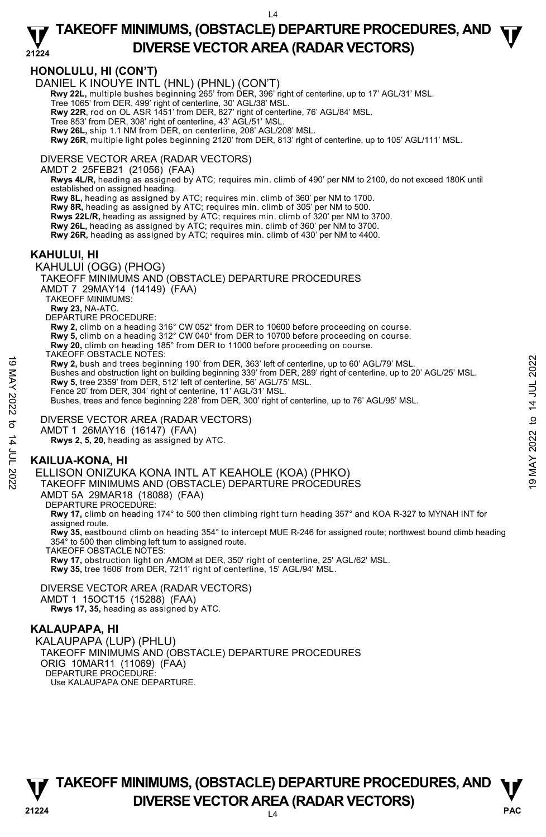### **21224 TAKEOFF MINIMUMS, (OBSTACLE) DEPARTURE PROCEDURES, AND**  $\Psi$ **DIVERSE VECTOR AREA (RADAR VECTORS)**

# **HONOLULU, HI (CON'T)**

DANIEL K INOUYE INTL (HNL) (PHNL) (CON'T)

 **Rwy 22L,** multiple bushes beginning 265' from DER, 396' right of centerline, up to 17' AGL/31' MSL.

Tree 1065' from DER, 499' right of centerline, 30' AGL/38' MSL.

**Rwy 22R**, rod on OL ASR 1451' from DER, 827' right of centerline, 76' AGL/84' MSL.

Tree 853' from DER, 308' right of centerline, 43' AGL/51' MSL.

**Rwy 26L,** ship 1.1 NM from DER, on centerline, 208' AGL/208' MSL.

**Rwy 26R**, multiple light poles beginning 2120' from DER, 813' right of centerline, up to 105' AGL/111' MSL.

#### DIVERSE VECTOR AREA (RADAR VECTORS)

AMDT 2 25FEB21 (21056) (FAA)

 **Rwys 4L/R,** heading as assigned by ATC; requires min. climb of 490' per NM to 2100, do not exceed 180K until established on assigned heading.

 **Rwy 8L,** heading as assigned by ATC; requires min. climb of 360' per NM to 1700.

 **Rwy 8R,** heading as assigned by ATC; requires min. climb of 305' per NM to 500.

 **Rwys 22L/R,** heading as assigned by ATC; requires min. climb of 320' per NM to 3700.  **Rwy 26L,** heading as assigned by ATC; requires min. climb of 360' per NM to 3700.

 **Rwy 26R,** heading as assigned by ATC; requires min. climb of 430' per NM to 4400.

### **KAHULUI, HI**

KAHULUI (OGG) (PHOG)

TAKEOFF MINIMUMS AND (OBSTACLE) DEPARTURE PROCEDURES

AMDT 7 29MAY14 (14149) (FAA)

TAKEOFF MINIMUMS:

**Rwy 23,** NA-ATC.

DEPARTURE PROCEDURE:

**Rwy 2,** climb on a heading 316° CW 052° from DER to 10600 before proceeding on course.

**Rwy 5,** climb on a heading 312° CW 040° from DER to 10700 before proceeding on course.

**Rwy 20,** climb on heading 185° from DER to 11000 before proceeding on course. TAKEOFF OBSTACLE NOTES:

**Rwy 2,** bush and trees beginning 190' from DER, 363' left of centerline, up to 60' AGL/79' MSL. Bushes and obstruction light on building beginning 339' from DER, 289' right of centerline, up to 20' AGL/25' MSL. **Rwy 5,** tree 2359' from DER, 512' left of centerline, 56' AGL/75' MSL. Fence 20' from DER, 304' right of centerline, 11' AGL/31' MSL. Bushes, trees and fence beginning 228' from DER, 300' right of centerline, up to 76' AGL/95' MSL. Rwy 2, bush and tres beginning 190' from DER, 363' left of centerline, up to 60' AGL/79' MSL.<br>
Bushes and obstruction light on building beginning 339' from DER, 289' right of centerline, up to 20' AGL/25' MSL.<br>
Rwy 5, tre

DIVERSE VECTOR AREA (RADAR VECTORS)

AMDT 1 26MAY16 (16147) (FAA)

 **Rwys 2, 5, 20,** heading as assigned by ATC.

### **KAILUA-KONA, HI**

ELLISON ONIZUKA KONA INTL AT KEAHOLE (KOA) (PHKO)

TAKEOFF MINIMUMS AND (OBSTACLE) DEPARTURE PROCEDURES

AMDT 5A 29MAR18 (18088) (FAA)

DEPARTURE PROCEDURE:

**Rwy 17,** climb on heading 174° to 500 then climbing right turn heading 357° and KOA R-327 to MYNAH INT for assigned route.

**Rwy 35,** eastbound climb on heading 354° to intercept MUE R-246 for assigned route; northwest bound climb heading<br>354° to 500 then climbing left turn to assigned route.

TAKEOFF OBSTACLE NOTES:

**Rwy 17,** obstruction light on AMOM at DER, 350' right of centerline, 25' AGL/62' MSL. **Rwy 35,** tree 1606' from DER, 7211' right of centerline, 15' AGL/94' MSL.

DIVERSE VECTOR AREA (RADAR VECTORS) AMDT 1 15OCT15 (15288) (FAA)

 **Rwys 17, 35,** heading as assigned by ATC.

### **KALAUPAPA, HI**

KALAUPAPA (LUP) (PHLU) TAKEOFF MINIMUMS AND (OBSTACLE) DEPARTURE PROCEDURES ORIG 10MAR11 (11069) (FAA) DEPARTURE PROCEDURE: Use KALAUPAPA ONE DEPARTURE.

**PAC** L4 **TAKEOFF MINIMUMS, (OBSTACLE) DEPARTURE PROCEDURES, AND**  $\Psi$ **DIVERSE VECTOR AREA (RADAR VECTORS)** 21224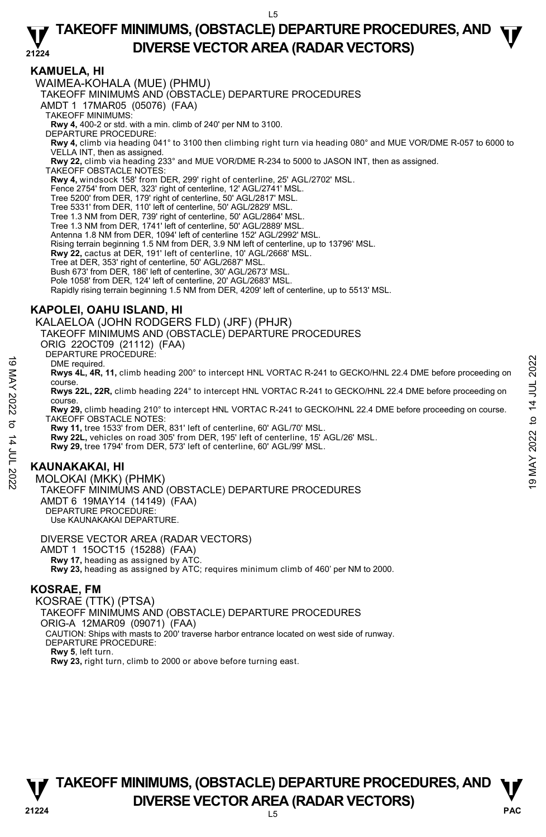### **21224 TAKEOFF MINIMUMS, (OBSTACLE) DEPARTURE PROCEDURES, AND**  $\Psi$ **DIVERSE VECTOR AREA (RADAR VECTORS)**

### **KAMUELA, HI**

WAIMEA-KOHALA (MUE) (PHMU) TAKEOFF MINIMUMS AND (OBSTACLE) DEPARTURE PROCEDURES AMDT 1 17MAR05 (05076) (FAA) TAKEOFF MINIMUMS: **Rwy 4,** 400-2 or std. with a min. climb of 240' per NM to 3100. DEPARTURE PROCEDURE: **Rwy 4,** climb via heading 041° to 3100 then climbing right turn via heading 080° and MUE VOR/DME R-057 to 6000 to VELLA INT, then as assigned. **Rwy 22,** climb via heading 233° and MUE VOR/DME R-234 to 5000 to JASON INT, then as assigned. TAKEOFF OBSTACLE NOTES: **Rwy 4,** windsock 158' from DER, 299' right of centerline, 25' AGL/2702' MSL. Fence 2754' from DER, 323' right of centerline, 12' AGL/2741' MSL. Tree 5200' from DER, 179' right of centerline, 50' AGL/2817' MSL. Tree 5331' from DER, 110' left of centerline, 50' AGL/2829' MSL. Tree 1.3 NM from DER, 739' right of centerline, 50' AGL/2864' MSL. Tree 1.3 NM from DER, 1741' left of centerline, 50' AGL/2889' MSL. Antenna 1.8 NM from DER, 1094' left of centerline 152' AGL/2992' MSL. Rising terrain beginning 1.5 NM from DER, 3.9 NM left of centerline, up to 13796' MSL. **Rwy 22,** cactus at DER, 191' left of centerline, 10' AGL/2668' MSL. Tree at DER, 353' right of centerline, 50' AGL/2687' MSL. Bush 673' from DER, 186' left of centerline, 30' AGL/2673' MSL. Pole 1058' from DER, 124' left of centerline, 20' AGL/2683' MSL. Rapidly rising terrain beginning 1.5 NM from DER, 4209' left of centerline, up to 5513' MSL.

# **KAPOLEI, OAHU ISLAND, HI**

KALAELOA (JOHN RODGERS FLD) (JRF) (PHJR)

TAKEOFF MINIMUMS AND (OBSTACLE) DEPARTURE PROCEDURES

ORIG 22OCT09 (21112) (FAA)

DEPARTURE PROCEDURE:

#### DME required.

**Rwys 4L, 4R, 11,** climb heading 200° to intercept HNL VORTAC R-241 to GECKO/HNL 22.4 DME before proceeding on course. TANCOLOGISTIC - THE FEQUIRE PROCEDUPTS<br>
The Fequired.<br>
Rwys 4L, 4R, 11, climb heading 200° to intercept HNL VORTAC R-241 to GECKO/HNL 22.4 DME before proceeding on<br>
Rwy 22L, 22R, climb heading 210° to intercept HNL VORTA

**Rwys 22L, 22R,** climb heading 224° to intercept HNL VORTAC R-241 to GECKO/HNL 22.4 DME before proceeding on course.

**Rwy 29,** climb heading 210° to intercept HNL VORTAC R-241 to GECKO/HNL 22.4 DME before proceeding on course. TAKEOFF OBSTACLE NOTES:

**Rwy 11,** tree 1533' from DER, 831' left of centerline, 60' AGL/70' MSL.

**Rwy 22L,** vehicles on road 305' from DER, 195' left of centerline, 15' AGL/26' MSL.

**Rwy 29,** tree 1794' from DER, 573' left of centerline, 60' AGL/99' MSL.

# **KAUNAKAKAI, HI**

MOLOKAI (MKK) (PHMK) TAKEOFF MINIMUMS AND (OBSTACLE) DEPARTURE PROCEDURES AMDT 6 19MAY14 (14149) (FAA) DEPARTURE PROCEDURE: Use KAUNAKAKAI DEPARTURE.

DIVERSE VECTOR AREA (RADAR VECTORS) AMDT 1 15OCT15 (15288) (FAA)  **Rwy 17,** heading as assigned by ATC. **Rwy 23,** heading as assigned by ATC; requires minimum climb of 460' per NM to 2000.

### **KOSRAE, FM**

KOSRAE (TTK) (PTSA) TAKEOFF MINIMUMS AND (OBSTACLE) DEPARTURE PROCEDURES ORIG-A 12MAR09 (09071) (FAA) CAUTION: Ships with masts to 200' traverse harbor entrance located on west side of runway. DEPARTURE PROCEDURE: **Rwy 5**, left turn. **Rwy 23,** right turn, climb to 2000 or above before turning east.

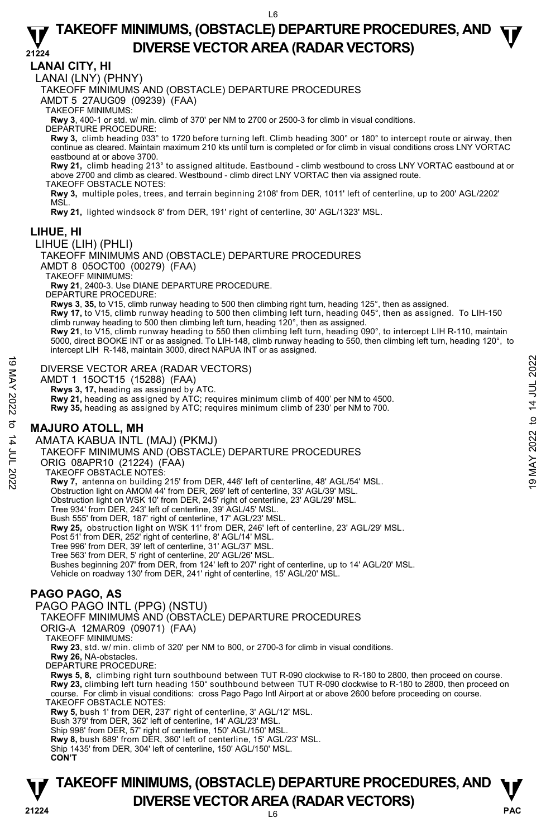### **21224 TAKEOFF MINIMUMS, (OBSTACLE) DEPARTURE PROCEDURES, AND**  $\Psi$ **DIVERSE VECTOR AREA (RADAR VECTORS)**

### **LANAI CITY, HI**

LANAI (LNY) (PHNY)

TAKEOFF MINIMUMS AND (OBSTACLE) DEPARTURE PROCEDURES

AMDT 5 27AUG09 (09239) (FAA)

TAKEOFF MINIMUMS:

**Rwy 3**, 400-1 or std. w/ min. climb of 370' per NM to 2700 or 2500-3 for climb in visual conditions. DEPARTURE PROCEDURE:

**Rwy 3,** climb heading 033° to 1720 before turning left. Climb heading 300° or 180° to intercept route or airway, then continue as cleared. Maintain maximum 210 kts until turn is completed or for climb in visual conditions cross LNY VORTAC eastbound at or above 3700.

**Rwy 21,** climb heading 213° to assigned altitude. Eastbound - climb westbound to cross LNY VORTAC eastbound at or above 2700 and climb as cleared. Westbound - climb direct LNY VORTAC then via assigned route.

TAKEOFF OBSTACLE NOTES:

**Rwy 3,** multiple poles, trees, and terrain beginning 2108' from DER, 1011' left of centerline, up to 200' AGL/2202' MSL.

**Rwy 21,** lighted windsock 8' from DER, 191' right of centerline, 30' AGL/1323' MSL.

### **LIHUE, HI**

#### LIHUE (LIH) (PHLI)

TAKEOFF MINIMUMS AND (OBSTACLE) DEPARTURE PROCEDURES AMDT 8 05OCT00 (00279) (FAA)

TAKEOFF MINIMUMS:

**Rwy 21**, 2400-3. Use DIANE DEPARTURE PROCEDURE.

DEPARTURE PROCEDURE:

**Rwys 3**, **35,** to V15, climb runway heading to 500 then climbing right turn, heading 125°, then as assigned.

**Rwy 17,** to V15, climb runway heading to 500 then climbing left turn, heading 045°, then as assigned. To LIH-150<br>climb runway heading to 500 then climbing left turn, heading 120°, then as assigned.

**Rwy 21**, to V15, climb runway heading to 550 then climbing left turn, heading 090°, to intercept LIH R-110, maintain<br>5000, direct BOOKE INT or as assigned. To LIH-148, climb runway heading to 550, then climbing left turn, intercept LIH R-148, maintain 3000, direct NAPUA INT or as assigned.

#### DIVERSE VECTOR AREA (RADAR VECTORS)

AMDT 1 15OCT15 (15288) (FAA)

 **Rwys 3, 17,** heading as assigned by ATC. **Rwy 21,** heading as assigned by ATC; requires minimum climb of 400' per NM to 4500. DIVERSE VECTOR AREA (RADAR VECTORS)<br>
AMDT 1 15OCT15 (15288) (FAA)<br>
Rwy 3, 17, heading as assigned by ATC.<br>
Rwy 21, heading as assigned by ATC: requires minimum climb of 400' per NM to 4500.<br>
Rwy 35, heading as assigned by

**Rwy 35,** heading as assigned by ATC; requires minimum climb of 230' per NM to 700.

### **MAJURO ATOLL, MH**

AMATA KABUA INTL (MAJ) (PKMJ)

TAKEOFF MINIMUMS AND (OBSTACLE) DEPARTURE PROCEDURES

ORIG 08APR10 (21224) (FAA)

TAKEOFF OBSTACLE NOTES:

**Rwy 7,** antenna on building 215' from DER, 446' left of centerline, 48' AGL/54' MSL.

Obstruction light on AMOM 44' from DER, 269' left of centerline, 33' AGL/39' MSL.

Obstruction light on WSK 10' from DER, 245' right of centerline, 23' AGL/29' MSL.

Tree 934' from DER, 243' left of centerline, 39' AGL/45' MSL.

Bush 555' from DER, 187' right of centerline, 17' AGL/23' MSL.

Rwy 25, obstruction light on WSK 11' from DER, 246' left of centerline, 23' AGL/29' MSL.

Post 51' from DER, 252' right of centerline, 8' AGL/14' MSL.

Tree 996' from DER, 39' left of centerline, 31' AGL/37' MSL. Tree 563' from DER, 5' right of centerline, 20' AGL/26' MSL.

Bushes beginning 207' from DER, from 124' left to 207' right of centerline, up to 14' AGL/20' MSL.

Vehicle on roadway 130' from DER, 241' right of centerline, 15' AGL/20' MSL.

# **PAGO PAGO, AS**

PAGO PAGO INTL (PPG) (NSTU)

TAKEOFF MINIMUMS AND (OBSTACLE) DEPARTURE PROCEDURES

ORIG-A 12MAR09 (09071) (FAA)

TAKEOFF MINIMUMS:

**Rwy 23**, std. w/ min. climb of 320' per NM to 800, or 2700-3 for climb in visual conditions. **Rwy 26,** NA-obstacles.

DEPARTURE PROCEDURE:

**Rwys 5, 8,** climbing right turn southbound between TUT R-090 clockwise to R-180 to 2800, then proceed on course. **Rwy 23,** climbing left turn heading 150° southbound between TUT R-090 clockwise to R-180 to 2800, then proceed on course. For climb in visual conditions: cross Pago Pago Intl Airport at or above 2600 before proceeding on course. TAKEOFF OBSTACLE NOTES:

**Rwy 5,** bush 1' from DER, 237' right of centerline, 3' AGL/12' MSL.

Bush 379' from DER, 362' left of centerline, 14' AGL/23' MSL.

Ship 998' from DER, 57' right of centerline, 150' AGL/150' MSL.

**Rwy 8,** bush 689' from DER, 360' left of centerline, 15' AGL/23' MSL.

Ship 1435' from DER, 304' left of centerline, 150' AGL/150' MSL.

**CON'T**

# L6 **PAC TAKEOFF MINIMUMS, (OBSTACLE) DEPARTURE PROCEDURES, AND**  $\Psi$ **DIVERSE VECTOR AREA (RADAR VECTORS)** 21224